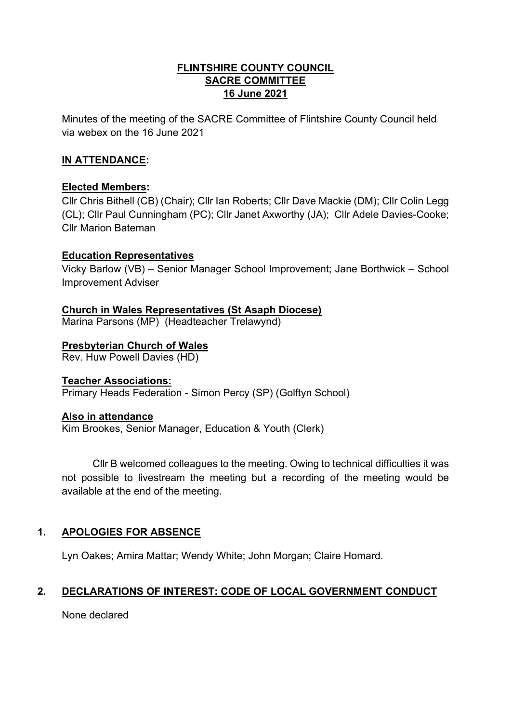### **FLINTSHIRE COUNTY COUNCIL SACRE COMMITTEE 16 June 2021**

Minutes of the meeting of the SACRE Committee of Flintshire County Council held via webex on the 16 June 2021

## **IN ATTENDANCE:**

## **Elected Members:**

Cllr Chris Bithell (CB) (Chair); Cllr Ian Roberts; Cllr Dave Mackie (DM); Cllr Colin Legg (CL); Cllr Paul Cunningham (PC); Cllr Janet Axworthy (JA); Cllr Adele Davies-Cooke; Cllr Marion Bateman

### **Education Representatives**

Vicky Barlow (VB) – Senior Manager School Improvement; Jane Borthwick – School Improvement Adviser

**Church in Wales Representatives (St Asaph Diocese)** Marina Parsons (MP) (Headteacher Trelawynd)

# **Presbyterian Church of Wales**

Rev. Huw Powell Davies (HD)

### **Teacher Associations:**

Primary Heads Federation - Simon Percy (SP) (Golftyn School)

### **Also in attendance**

Kim Brookes, Senior Manager, Education & Youth (Clerk)

Cllr B welcomed colleagues to the meeting. Owing to technical difficulties it was not possible to livestream the meeting but a recording of the meeting would be available at the end of the meeting.

# **1. APOLOGIES FOR ABSENCE**

Lyn Oakes; Amira Mattar; Wendy White; John Morgan; Claire Homard.

# **2. DECLARATIONS OF INTEREST: CODE OF LOCAL GOVERNMENT CONDUCT**

None declared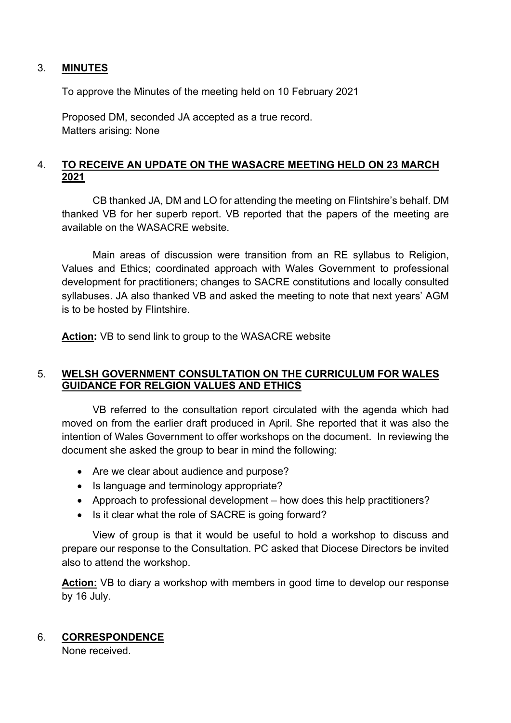### 3. **MINUTES**

To approve the Minutes of the meeting held on 10 February 2021

Proposed DM, seconded JA accepted as a true record. Matters arising: None

### 4. **TO RECEIVE AN UPDATE ON THE WASACRE MEETING HELD ON 23 MARCH 2021**

CB thanked JA, DM and LO for attending the meeting on Flintshire's behalf. DM thanked VB for her superb report. VB reported that the papers of the meeting are available on the WASACRE website.

Main areas of discussion were transition from an RE syllabus to Religion, Values and Ethics; coordinated approach with Wales Government to professional development for practitioners; changes to SACRE constitutions and locally consulted syllabuses. JA also thanked VB and asked the meeting to note that next years' AGM is to be hosted by Flintshire.

**Action:** VB to send link to group to the WASACRE website

### 5. **WELSH GOVERNMENT CONSULTATION ON THE CURRICULUM FOR WALES GUIDANCE FOR RELGION VALUES AND ETHICS**

VB referred to the consultation report circulated with the agenda which had moved on from the earlier draft produced in April. She reported that it was also the intention of Wales Government to offer workshops on the document. In reviewing the document she asked the group to bear in mind the following:

- Are we clear about audience and purpose?
- Is language and terminology appropriate?
- Approach to professional development how does this help practitioners?
- Is it clear what the role of SACRE is going forward?

View of group is that it would be useful to hold a workshop to discuss and prepare our response to the Consultation. PC asked that Diocese Directors be invited also to attend the workshop.

**Action:** VB to diary a workshop with members in good time to develop our response by 16 July.

### 6. **CORRESPONDENCE**

None received.